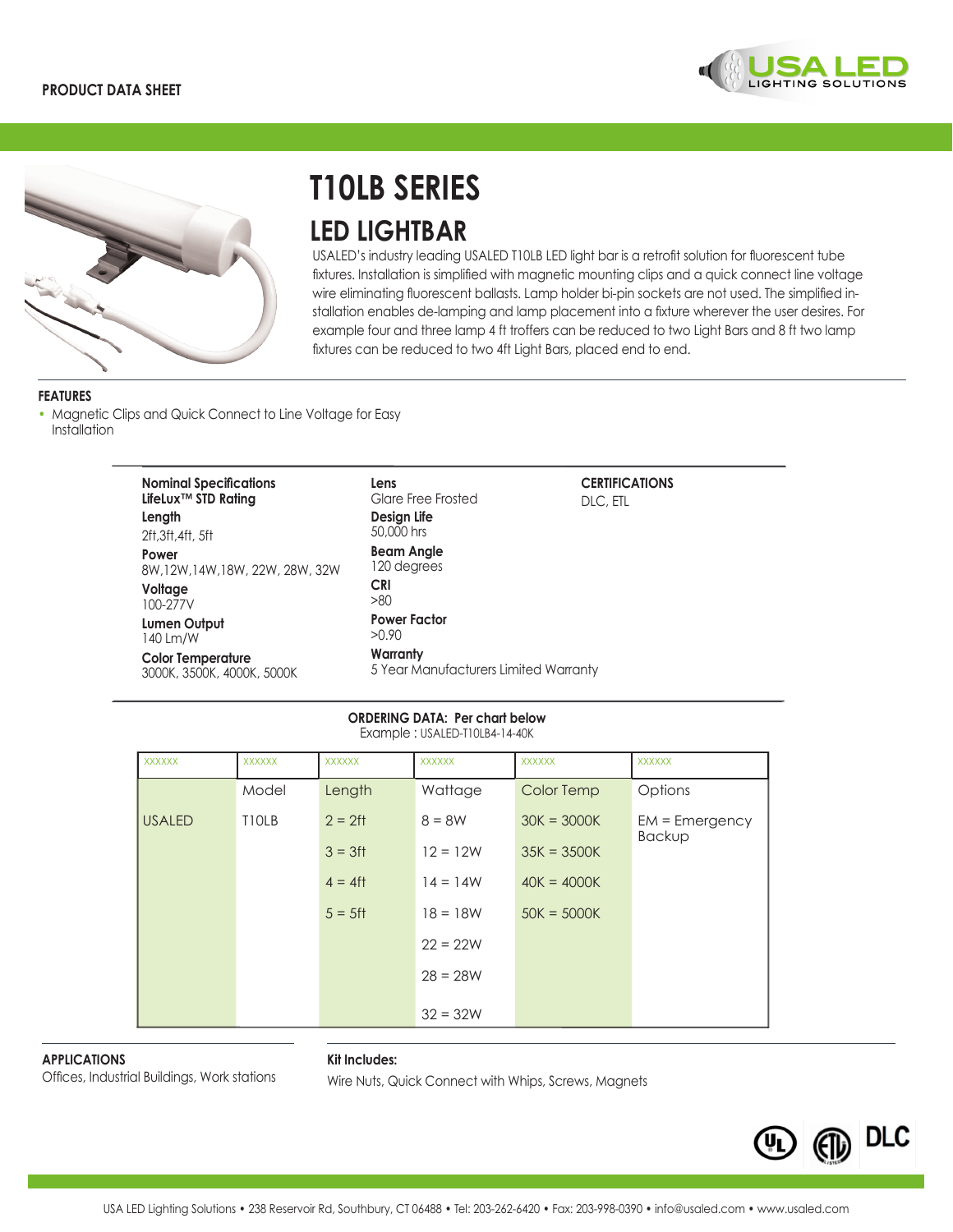



# **T10LB SERIES LED LIGHTBAR**

USALED's industry leading USALED T10LB LED light bar is a retrofit solution for fluorescent tube fixtures. Installation is simplified with magnetic mounting clips and a quick connect line voltage wire eliminating fluorescent ballasts. Lamp holder bi-pin sockets are not used. The simplified installation enables de-lamping and lamp placement into a fixture wherever the user desires. For example four and three lamp 4 ft troffers can be reduced to two Light Bars and 8 ft two lamp fixtures can be reduced to two 4ft Light Bars, placed end to end.

## **FEATURES**

• Magnetic Clips and Quick Connect to Line Voltage for Easy Installation

| <b>Nominal Specifications</b><br>LifeLux™ STD Rating<br>Length<br>2ft.3ft.4ft.5ft         | Lens<br>Glare Free Frosted<br>Design Life<br>50,000 hrs                           | <b>CERTIFICATIONS</b><br>DLC, ETL |
|-------------------------------------------------------------------------------------------|-----------------------------------------------------------------------------------|-----------------------------------|
| Power<br>8W.12W.14W.18W.22W.28W.32W<br>Voltage<br>100-277V                                | <b>Beam Angle</b><br>120 degrees<br><b>CRI</b><br>>80                             |                                   |
| <b>Lumen Output</b><br>140 Lm/W<br><b>Color Temperature</b><br>3000K, 3500K, 4000K, 5000K | <b>Power Factor</b><br>>0.90<br>Warranty<br>5 Year Manufacturers Limited Warranty |                                   |

#### **ORDERING DATA: Per chart below**  Example : USALED-T10LB4-14-40K

| <b>XXXXXX</b> | <b>XXXXXX</b> | <b>XXXXXX</b> | <b>XXXXXX</b> | <b>XXXXXX</b> | <b>XXXXXX</b>                     |
|---------------|---------------|---------------|---------------|---------------|-----------------------------------|
|               | Model         | Length        | Wattage       | Color Temp    | Options                           |
| <b>USALED</b> | <b>TIOLB</b>  | $2 = 2$ ft    | $8 = 8W$      | $30K = 3000K$ | $EM = Emergency$<br><b>Backup</b> |
|               |               | $3 = 3$ ft    | $12 = 12W$    | $35K = 3500K$ |                                   |
|               |               | $4 = 4$ ft    | $14 = 14W$    | $40K = 4000K$ |                                   |
|               |               | $5 = 5$ ft    | $18 = 18W$    | $50K = 5000K$ |                                   |
|               |               |               | $22 = 22W$    |               |                                   |
|               |               |               | $28 = 28W$    |               |                                   |
|               |               |               | $32 = 32W$    |               |                                   |

**APPLICATIONS**

### **Kit Includes:**

Offices, Industrial Buildings, Work stations Wire Nuts, Quick Connect with Whips, Screws, Magnets